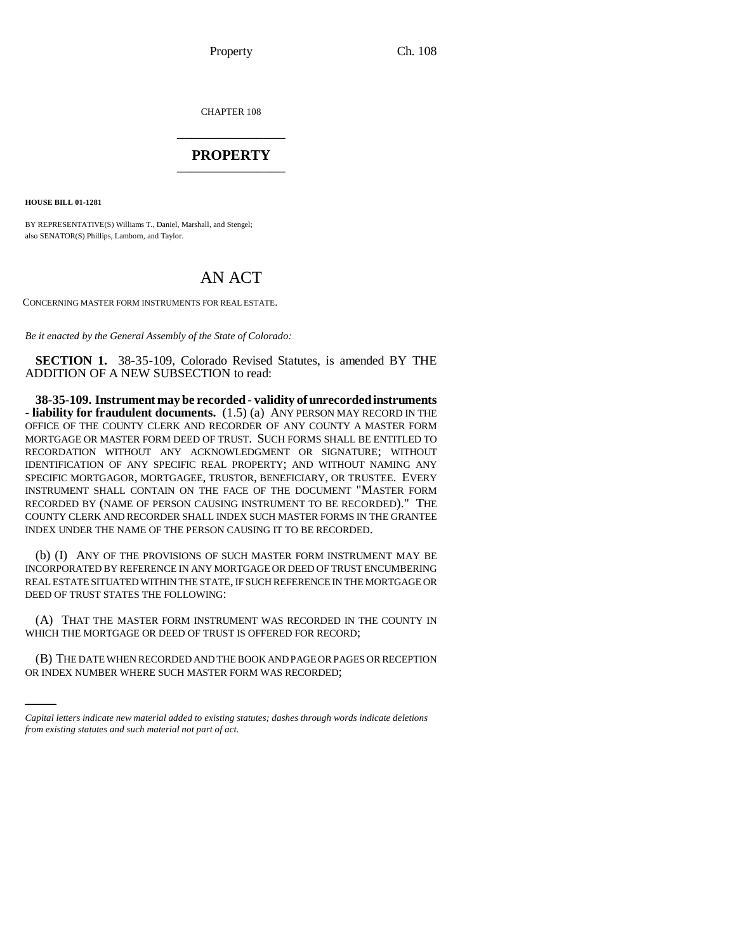Property Ch. 108

CHAPTER 108 \_\_\_\_\_\_\_\_\_\_\_\_\_\_\_

## **PROPERTY** \_\_\_\_\_\_\_\_\_\_\_\_\_\_\_

**HOUSE BILL 01-1281**

BY REPRESENTATIVE(S) Williams T., Daniel, Marshall, and Stengel; also SENATOR(S) Phillips, Lamborn, and Taylor.

## AN ACT

CONCERNING MASTER FORM INSTRUMENTS FOR REAL ESTATE.

*Be it enacted by the General Assembly of the State of Colorado:*

**SECTION 1.** 38-35-109, Colorado Revised Statutes, is amended BY THE ADDITION OF A NEW SUBSECTION to read:

**38-35-109. Instrument may be recorded - validity of unrecorded instruments - liability for fraudulent documents.** (1.5) (a) ANY PERSON MAY RECORD IN THE OFFICE OF THE COUNTY CLERK AND RECORDER OF ANY COUNTY A MASTER FORM MORTGAGE OR MASTER FORM DEED OF TRUST. SUCH FORMS SHALL BE ENTITLED TO RECORDATION WITHOUT ANY ACKNOWLEDGMENT OR SIGNATURE; WITHOUT IDENTIFICATION OF ANY SPECIFIC REAL PROPERTY; AND WITHOUT NAMING ANY SPECIFIC MORTGAGOR, MORTGAGEE, TRUSTOR, BENEFICIARY, OR TRUSTEE. EVERY INSTRUMENT SHALL CONTAIN ON THE FACE OF THE DOCUMENT "MASTER FORM RECORDED BY (NAME OF PERSON CAUSING INSTRUMENT TO BE RECORDED)." THE COUNTY CLERK AND RECORDER SHALL INDEX SUCH MASTER FORMS IN THE GRANTEE INDEX UNDER THE NAME OF THE PERSON CAUSING IT TO BE RECORDED.

(b) (I) ANY OF THE PROVISIONS OF SUCH MASTER FORM INSTRUMENT MAY BE INCORPORATED BY REFERENCE IN ANY MORTGAGE OR DEED OF TRUST ENCUMBERING REAL ESTATE SITUATED WITHIN THE STATE, IF SUCH REFERENCE IN THE MORTGAGE OR DEED OF TRUST STATES THE FOLLOWING:

WHICH THE MORTGAGE OR DEED OF TRUST IS OFFERED FOR RECORD; (A) THAT THE MASTER FORM INSTRUMENT WAS RECORDED IN THE COUNTY IN

(B) THE DATE WHEN RECORDED AND THE BOOK AND PAGE OR PAGES OR RECEPTION OR INDEX NUMBER WHERE SUCH MASTER FORM WAS RECORDED;

*Capital letters indicate new material added to existing statutes; dashes through words indicate deletions from existing statutes and such material not part of act.*